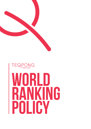

# TEQPONG **WORLD IS CURVED WORLD RANKING POLICY**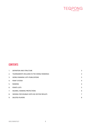

# **contents**

| $1_{-}$                          | <b>DEFINITION AND STRUCTURE</b>            | 3              |
|----------------------------------|--------------------------------------------|----------------|
| 2.                               | TOURNAMENTS INCLUDED IN THE WORLD RANKINGS | 3              |
| 3 <sub>1</sub>                   | <b>WORLD RANKING LISTS PUBLICATIONS</b>    | 3              |
| 4.                               | <b>POINT SYSTEM</b>                        | $\overline{4}$ |
| 5.                               | <b>RANKING</b>                             | $\overline{4}$ |
| 6.                               | <b>POINTS LISTS</b>                        | 5              |
| $7_{\scriptscriptstyle{\ddots}}$ | INJURIES, RANKING PROTECTIONS              | 6              |
| 8.                               | SEEDING FOR DOUBLES WITH NO OR FEW RESULTS | 7              |
| 9.                               | <b>DELETED PLAYERS</b>                     | 8              |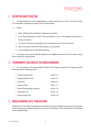

# **1. Definition and structure**

**1.1.** The World Ranking is a list of eligible players in order of performance. There is one list for singles, one for doubles irrespective of gender and for mixed doubles.

**1.2.** Players:

- 1. attain ranking points by playing in Teqpong tournaments.
- 2. in the World Ranking are ranked if they have played in one or more Teqpong tournaments in the last 24 months.
- 3. may attain more points, depending on the multiplying factor of the tournament.
- 4. attain more points the further they advance in a tournament.
- 5. can be seeded based on their World Ranking.

**1.3.** Every player / pair must be officially registered at an eligible tournament in order to attain ranking points during the ranking period.

## **2. Tournaments included in the World Rankings**

**2.1.** The tournaments are automatically included in the Teqpong Calendar and Teqpong World Rankings with the following factors:

| $\mathbb Q$ World Championships            | Factor 2.5  |
|--------------------------------------------|-------------|
| <b>Q</b> Teqpong Masters Final             | Factor 2.5  |
| $\mathbb Q$ Grand Prix                     | Factor 2.0  |
| Q Masters Series                           | Factor 1.5  |
| $\mathbb Q$ World Championships qualifiers | Factor 1.25 |
| $\mathbb Q$ Challenger Cup                 | Factor 1.0  |
| $\mathbb Q$ National Open Tour             | Factor 0.25 |

# **3. World Ranking Lists' publications**

Starting from 15 July 2020, the Rankings are published on the first Tuesday of every month. This includes all the ranking points attained during any event since 23 November 2019, including the 2019 Teqpong World Championships.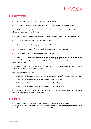

# **4. Point system**

- **4.1.** Ranking points are awarded based on the final positions.
- **4.2.** The significance of the awarded ranking points is related to the factor of the event.

**4.3.** Additional bonus points are awarded based on the match results achieved during the matches played on the main draw knock-out stage.

- **4.4.** Bonus points are awarded for set wins and for points scored during the main draw matches.
- **4.5.** The awarded ranking points are valid for 24 months.
- **4.6.** Points are awarded after playing at least one match at the event.
- **4.7.** Player / pair without any finished match does not attain any ranking points.
- **4.8.** Points are assigned to the losers of the round indicated.

**4.9.** Player / pair in a tournament with a round in group play (pool matches) will attain points according to the finishing position in the group, equal to the equivalent finishing position in a knockout format tournament.

For example, a player / pair finishing in fourth place in a group, in a draw containing eight groups of four would receive round of 64 loser's points:

#### **Eight groups of four are played.**

- $\&$  Number 1 in the group proceeds to the knockout stage, playing for position 1,2 3-4 and 5-8.
- $\&$  Number 2 in the group would receive positions 9-16 ranking points.
- $\&$  Number 3 in the group would receive positions 17-32 ranking points.
- $\Diamond$  Number 4 in the group would receive positions 33-64 ranking points.

**4.10.** If a player / pair is disqualified and removed from the draw due to misbehavior, then the ranking points will be removed from that player / pair.

#### **5. Ranking**

**5.1.** World Ranking – 20 or fewer World Ranking Tournaments in the last 24 months If a player or pair has competed in the same event at 20 or fewer World Ranking tournaments, then the ranking is calculated by adding the points attained at the tournaments.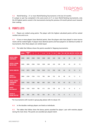

**5.2.** World Ranking – 21 or more World Ranking Tournaments in the last 24 months If a player or pair has competed in the same event at 21 or more World Ranking tournaments, only the 20 highest points scored in the tournaments during the previous 24-month period count towards their ranking.

# **6. Points lists**

**6.1.** Players are ranked using points. The player with the highest calculated points will be ranked number one and so on.

**6.2.** If two or more players have identical points, then the players who have played in more tournaments will be ranked higher. If players have identical points and have played in an identical number of tournaments, then these players are ranked equal.

|                                                                | <b>WINNER</b> | <b>RUNNER</b><br><b>UP</b> | 3.   | 4.   | $5 - 8$ . | $9 - 16.$ | $17 - 32.$ | 33-64. | $65 - 128$ . | $129 - 256.$   | $ 257 - 512 513 - 1024.$ |              |
|----------------------------------------------------------------|---------------|----------------------------|------|------|-----------|-----------|------------|--------|--------------|----------------|--------------------------|--------------|
| <b>FACTOR 2.5 WORLD</b><br><b>CHAMPIONSHIPS</b>                | 6400          | 3840                       | 2560 | 1920 | 1280      | 640       | 320        | 160    | 80           | 40             | 20                       | 10           |
| <b>FACTOR 2.5 TEQPONG</b><br><b>MASTERS FINALS</b>             | 6400          | 3840                       | 2560 | 1920 | 1280      | 640       | 320        | 160    | 80           | 40             | 20                       | 10           |
| <b>FACTOR 2 GRAND PRIX</b>                                     | 5120          | 3072                       | 2048 | 1536 | 1024      | 512       | 256        | 128    | 64           | 32             | 16                       | 8            |
| <b>FACTOR 1.5</b><br><b>MASTER SERIES</b>                      | 3840          | 2304                       | 1536 | 1152 | 768       | 384       | 192        | 96     | 48           | 24             | 12                       | 6            |
| <b>FACTOR 1.25 WORLD</b><br><b>CHAMPIONSHIPS</b><br>QUALIFIERS | 3200          | 1920                       | 1280 | 960  | 640       | 320       | 160        | 80     | 40           | 20             | 10                       | 5            |
| <b>FACTOR 1</b><br><b>CHALLENGER CUP</b>                       | 2560          | 1536                       | 1024 | 768  | 512       | 256       | 128        | 64     | 32           | 16             | 8                        | 4            |
| <b>FACTOR 0.25</b><br><b>NATIONAL OPEN TOUR</b>                | 640           | 384                        | 256  | 192  | 128       | 64        | 32         | 16     | 8            | $\overline{4}$ | $\overline{2}$           | $\mathbf{1}$ |

**6.3.** The table that follows shows the points awarded in Teqpong tournaments.

*\*For tournaments with rounds in group play please refer to clause 4.9.*

**6.4.** In the doubles rankings players are listed as individuals.

**6.5.** The tables that follow show the bonus points awarded for player / pair with matches played during the main draw. The points are awarded per played match.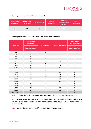

#### **Bonus points earned per set wins on main draws**

| <b>FACTOR 2.5 WORLD</b><br><b>CHAMPIONSHIPS</b> | <b>FACTOR 2.5 TEQPONG</b><br><b>MASTERS FINALS</b> | <b>FACTOR 2 GRAND PRIX</b> | <b>FACTOR 1.5</b><br><b>MASTER SERIES</b> | <b>FACTOR 1.25</b><br><b>WORLD CHAMPIONSHIPS</b><br>QUALIFIERS | <b>FACTOR 1</b><br><b>CHALLENGER CUP</b> |
|-------------------------------------------------|----------------------------------------------------|----------------------------|-------------------------------------------|----------------------------------------------------------------|------------------------------------------|
| 18                                              | 18                                                 | 14                         | 10                                        | 8                                                              |                                          |

#### **Bonus points earned for points scored per match on main draws**

| <b>POINTS EARNED</b> | <b>FACTOR 2.5 WORLD</b><br><b>CHAMPIONSHIPS</b> | <b>FACTOR 2 GRAND PRIX</b> | <b>FACTOR 1.5 MASTER SERIES</b> | <b>FACTOR 1.25 WORLD</b><br><b>CHAMPIONSHIPS QUALIFIERS</b> |  |
|----------------------|-------------------------------------------------|----------------------------|---------------------------------|-------------------------------------------------------------|--|
|                      | <b>TEQPONG MASTERS FINALS</b>                   |                            |                                 | <b>FACTOR 1CHALLENGER CUP</b>                               |  |
| $1 - 2$              | 5                                               | 3                          | $\overline{2}$                  | $\mathbf{1}$                                                |  |
| $3 - 4$              | 10                                              | 6                          | $\overline{4}$                  | $\overline{2}$                                              |  |
| $5-6$                | 15                                              | 9                          | 6                               | 3                                                           |  |
| $7 - 8$              | 20                                              | 12                         | 8                               | $\overline{4}$                                              |  |
| $9 - 10$             | 25                                              | 15                         | 10                              | 5                                                           |  |
| $11 - 12$            | 30                                              | 18                         | 12                              | 6                                                           |  |
| $13 - 14$            | 35                                              | 21                         | 14                              | $\overline{7}$                                              |  |
| $15 - 16$            | 40                                              | 24                         | 16                              | 8                                                           |  |
| $17 - 18$            | 45                                              | 27                         | 18                              | 9                                                           |  |
| 19-20                | 50                                              | 30                         | 20                              | 10                                                          |  |
| $21 - 22$            | 55                                              | 33                         | 22                              | 11                                                          |  |
| $23 - 24$            | 60                                              | 36                         | 24                              | 12                                                          |  |
| $25 - 26$            | 65                                              | 39                         | 26                              | 13                                                          |  |
| $27 - 28$            | 70                                              | 42                         | 28                              | 14                                                          |  |
| 29-30                | 75                                              | 45                         | 30                              | 15                                                          |  |
| $31 - 32$            | 80                                              | 48                         | 32                              | 16                                                          |  |
| 33-34                | 85                                              | 51                         | 34                              | 17                                                          |  |
| 35-36                | 90                                              | 54                         | 35                              | 18                                                          |  |
| More than 36         | 95                                              | 57                         | 38                              | 19                                                          |  |

**6.6.** Player / pair who has been disqualified does not attain any ranking points for that event.

**6.7.** Player / pair who does not show up at a match without any physical injury, sickness or unexpected reason gets the lowest possible points for that competition if the player / pair has already finished at least one match.

**6.8.** Bonus points are not awarded for National Open Tour tournaments.